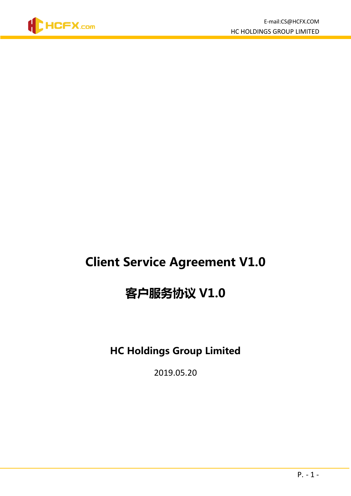

# Client Service Agreement V1.0

# 客户服务协议 V1.0

# HC Holdings Group Limited

2019.05.20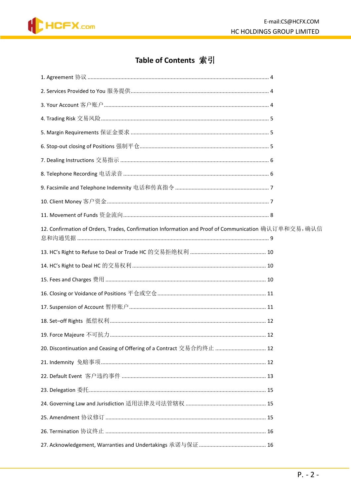

# Table of Contents 索引

| 11. Movement of Funds 资金流向……………………………………………………………………………………… 8                                        |  |
|------------------------------------------------------------------------------------------------------|--|
| 12. Confirmation of Orders, Trades, Confirmation Information and Proof of Communication 确认订单和交易, 确认信 |  |
| 13. HC's Right to Refuse to Deal or Trade HC 的交易拒绝权利 …………………………………………… 10                            |  |
|                                                                                                      |  |
|                                                                                                      |  |
| 16. Closing or Voidance of Positions 平仓或空仓 ……………………………………………………………… 11                               |  |
| 17. Suspension of Account 暂停账户………………………………………………………………………………… 11                                     |  |
|                                                                                                      |  |
|                                                                                                      |  |
| 20. Discontinuation and Ceasing of Offering of a Contract 交易合约终止  12                                 |  |
|                                                                                                      |  |
|                                                                                                      |  |
|                                                                                                      |  |
|                                                                                                      |  |
|                                                                                                      |  |
|                                                                                                      |  |
|                                                                                                      |  |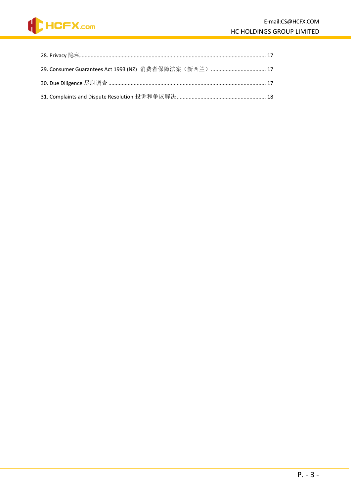

| 31. Complaints and Dispute Resolution 投诉和争议解决 …………………………………………………… 18 |  |
|-----------------------------------------------------------------------|--|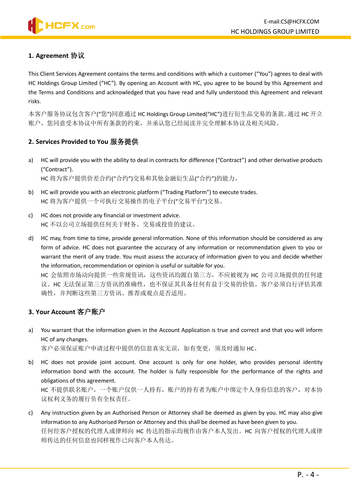# <span id="page-3-0"></span>**1. Agreement** 协议

This Client Services Agreement contains the terms and conditions with which a customer ("You") agrees to deal with HC Holdings Group Limited ("HC"). By opening an Account with HC, you agree to be bound by this Agreement and the Terms and Conditions and acknowledged that you have read and fully understood this Agreement and relevant risks.

本客户服务协议包含客户("您")同意通过 HC Holdings Group Limited("HC")进行衍生品交易的条款。通过 HC 开立 账户,您同意受本协议中所有条款的约束,并承认您已经阅读并完全理解本协议及相关风险。

#### <span id="page-3-1"></span>**2. Services Provided to You** 服务提供

- a) HC will provide you with the ability to deal in contracts for difference ("Contract") and other derivative products ("Contract"). HC 将为客户提供价差合约("合约")交易和其他金融衍生品("合约")的能力。
- b) HC will provide you with an electronic platform ("Trading Platform") to execute trades. HC 将为客户提供一个可执行交易操作的电子平台("交易平台")交易。
- c) HC does not provide any financial or investment advice. HC 不以公司立场提供任何关于财务、交易或投资的建议。
- d) HC may, from time to time, provide general information. None of this information should be considered as any form of advice. HC does not guarantee the accuracy of any information or recommendation given to you or warrant the merit of any trade. You must assess the accuracy of information given to you and decide whether the information, recommendation or opinion is useful or suitable for you.

HC 会依照市场动向提供一些常规资讯,这些资讯均源自第三方,不应被视为 HC 公司立场提供的任何建 议。HC 无法保证第三方资讯的准确性,也不保证其具备任何有益于交易的价值。客户必须自行评估其准 确性,并判断这些第三方资讯、推荐或观点是否适用。

#### <span id="page-3-2"></span>**3. Your Account** 客户账户

a) You warrant that the information given in the Account Application is true and correct and that you will inform HC of any changes.

客户必须保证账户申请过程中提供的信息真实无误,如有变更,须及时通知 HC。

- b) HC does not provide joint account. One account is only for one holder, who provides personal identity information bond with the account. The holder is fully responsible for the performance of the rights and obligations of this agreement. HC 不提供联名账户, 一个账户仅供一人持有, 账户的持有者为账户中绑定个人身份信息的客户, 对本协 议权利义务的履行负有全权责任。
- c) Any instruction given by an Authorised Person or Attorney shall be deemed as given by you. HC may also give information to any Authorised Person or Attorney and this shall be deemed as have been given to you. 任何经客户授权的代理人或律师向 HC 传达的指示均视作由客户本人发出。HC 向客户授权的代理人或律 师传达的任何信息也同样视作已向客户本人传达。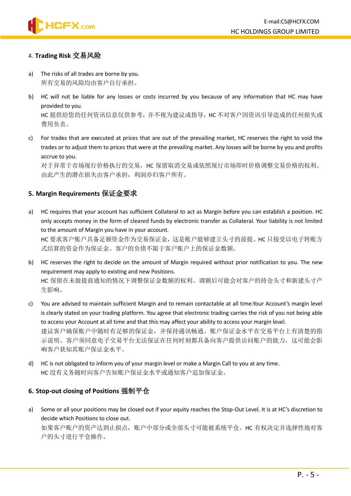

#### <span id="page-4-0"></span>4. **Trading Risk** 交易风险

- a) The risks of all trades are borne by you. 所有交易的风险均由客户自行承担。
- b) HC will not be liable for any losses or costs incurred by you because of any information that HC may have provided to you.

HC 提供给您的任何资讯信息仅供参考,并不视为建议或指导, HC 不对客户因资讯引导造成的任何损失或 费用负责。

c) For trades that are executed at prices that are out of the prevailing market, HC reserves the right to void the trades or to adjust them to prices that were at the prevailing market. Any losses will be borne by you and profits accrue to you.

对于异常于市场现行价格执行的交易,HC 保留取消交易或依照现行市场即时价格调整交易价格的权利。 由此产生的潜在损失由客户承担,利润亦归客户所有。

#### <span id="page-4-1"></span>**5. Margin Requirements** 保证金要求

a) HC requires that your account has sufficient Collateral to act as Margin before you can establish a position. HC only accepts money in the form of cleared funds by electronic transfer as Collateral. Your liability is not limited to the amount of Margin you have in your account. HC 要求客户账户具备足额资金作为交易保证金,这是账户能够建立头寸的前提。HC 只接受以电子转账方

式结算的资金作为保证金。客户的负债不限于客户账户上的保证金数额。

- b) HC reserves the right to decide on the amount of Margin required without prior notification to you. The new requirement may apply to existing and new Positions. HC 保留在未做提前通知的情况下调整保证金数额的权利。调额后可能会对客户的持仓头寸和新建头寸产 生影响。
- c) You are advised to maintain sufficient Margin and to remain contactable at all time.Your Account's margin level is clearly stated on your trading platform. You agree that electronic trading carries the risk of you not being able to access your Account at all time and that this may affect your ability to access your margin level. 建议客户确保账户中随时有足够的保证金,并保持通讯畅通。账户保证金水平在交易平台上有清楚的指 示说明。客户须同意电子交易平台无法保证在任何时刻都具备向客户提供访问账户的能力,这可能会影 响客户获知其账户保证金水平。
- d) HC is not obligated to inform you of your margin level or make a Margin Call to you at any time. HC 没有义务随时向客户告知账户保证金水平或通知客户追加保证金。

#### <span id="page-4-2"></span>**6. Stop-out closing of Positions** 强制平仓

a) Some or all your positions may be closed out if your equity reaches the Stop-Out Level. It is at HC's discretion to decide which Positions to close out.

如果客户账户的资产达到止损点,账户中部分或全部头寸可能被系统平仓。HC 有权决定并选择性地对客 户的头寸进行平仓操作。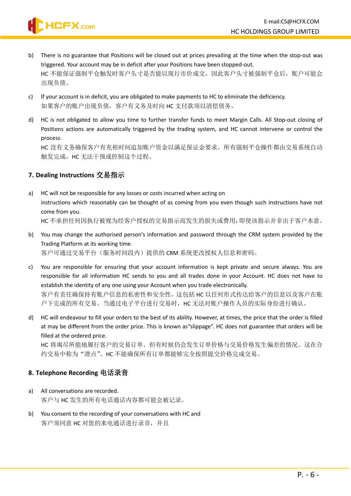

- b) There is no guarantee that Positions will be closed out at prices prevailing at the time when the stop-out was triggered. Your account may be in deficit after your Positions have been stopped-out. HC 不能保证强制平仓触发时客户头寸是否能以现行市价成交。因此客户头寸被强制平仓后, 账户可能会 出现负债。
- c) If your account is in deficit, you are obligated to make payments to HC to eliminate the deficiency. 如果客户的账户出现负债,客户有义务及时向 HC 支付款项以清偿债务。
- d) HC is not obligated to allow you time to further transfer funds to meet Margin Calls. All Stop-out closing of Positions actions are automatically triggered by the trading system, and HC cannot intervene or control the process.

HC 没有义务确保客户有充裕时间追加账户资金以满足保证金要求。所有强制平仓操作都由交易系统自动 触发完成,HC 无法干预或控制这个过程。

# <span id="page-5-0"></span>**7. Dealing Instructions** 交易指示

- a) HC will not be responsible for any losses or costs incurred when acting on instructions which reasonably can be thought of as coming from you even though such instructions have not come from you. HC 不承担任何因执行被视为经客户授权的交易指示而发生的损失或费用,即使该指示并非出于客户本意。
- b) You may change the authorised person's information and password through the CRM system provided by the Trading Platform at its working time. 客户可通过交易平台(服务时间段内)提供的 CRM 系统更改授权人信息和密码。
- c) You are responsible for ensuring that your account information is kept private and secure always. You are responsible for all information HC sends to you and all trades done in your Account. HC does not have to establish the identity of any one using your Account when you trade electronically. 客户有责任确保持有账户信息的私密性和安全性,这包括 HC 以任何形式传达给客户的信息以及客户在账

户下完成的所有交易。当通过电子平台进行交易时, HC 无法对账户操作人员的实际身份进行确认。

d) HC will endeavour to fill your orders to the best of its ability. However, at times, the price that the order is filled at may be different from the order price. This is known as"slippage". HC does not guarantee that orders will be filled at the ordered price.

HC 将竭尽所能地履行客户的交易订单。但有时候仍会发生订单价格与交易价格发生偏差的情况。这在合 约交易中称为"滑点"。HC 不能确保所有订单都能够完全按照提交价格完成交易。

# <span id="page-5-1"></span>**8. Telephone Recording** 电话录音

- a) All conversations are recorded. 客户与 HC 发生的所有电话通话内容都可能会被记录。
- b) You consent to the recording of your conversations with HC and 客户须同意 HC 对您的来电通话进行录音,并且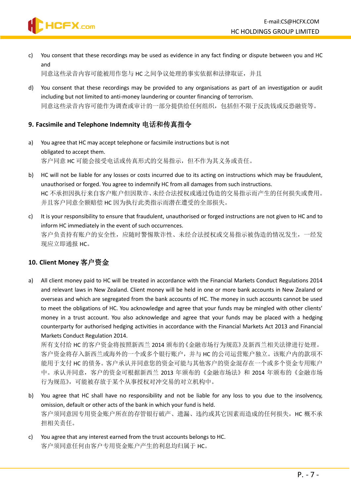c) You consent that these recordings may be used as evidence in any fact finding or dispute between you and HC and

同意这些录音内容可能被用作您与 HC 之间争议处理的事实依据和法律取证,并且

d) You consent that these recordings may be provided to any organisations as part of an investigation or audit including but not limited to anti-money laundering or counter financing of terrorism. 同意这些录音内容可能作为调查或审计的一部分提供给任何组织,包括但不限于反洗钱或反恐融资等。

#### <span id="page-6-0"></span>**9. Facsimile and Telephone Indemnity** 电话和传真指令

- a) You agree that HC may accept telephone or facsimile instructions but is not obligated to accept them. 客户同意 HC 可能会接受电话或传真形式的交易指示,但不作为其义务或责任。
- b) HC will not be liable for any losses or costs incurred due to its acting on instructions which may be fraudulent, unauthorised or forged. You agree to indemnify HC from all damages from such instructions. HC 不承担因执行来自客户账户但因欺诈、未经合法授权或通过伪造的交易指示而产生的任何损失或费用。 并且客户同意全额赔偿 HC 因为执行此类指示而潜在遭受的全部损失。
- c) It is your responsibility to ensure that fraudulent, unauthorised or forged instructions are not given to HC and to inform HC immediately in the event of such occurrences. 客户负责持有账户的安全性,应随时警惕欺诈性、未经合法授权或交易指示被伪造的情况发生,一经发 现应立即通报 HC。

# <span id="page-6-1"></span>**10. Client Money** 客户资金

**HCFX.com** 

a) All client money paid to HC will be treated in accordance with the Financial Markets Conduct Regulations 2014 and relevant laws in New Zealand. Client money will be held in one or more bank accounts in New Zealand or overseas and which are segregated from the bank accounts of HC. The money in such accounts cannot be used to meet the obligations of HC. You acknowledge and agree that your funds may be mingled with other clients' money in a trust account. You also acknowledge and agree that your funds may be placed with a hedging counterparty for authorised hedging activities in accordance with the Financial Markets Act 2013 and Financial Markets Conduct Regulation 2014.

所有支付给 HC 的客户资金将按照新西兰 2014 颁布的《金融市场行为规范》及新西兰相关法律进行处理。 客户资金将存入新西兰或海外的一个或多个银行账户,并与 HC 的公司运营账户独立。该账户内的款项不 能用于支付 HC 的债务。客户承认并同意您的资金可能与其他客户的资金混存在一个或多个资金专用账户 中。承认并同意,客户的资金可根据新西兰 2013 年颁布的《金融市场法》和 2014 年颁布的《金融市场 行为规范》,可能被存放于某个从事授权对冲交易的对立机构中。

- b) You agree that HC shall have no responsibility and not be liable for any loss to you due to the insolvency, omission, default or other acts of the bank in which your fund is held. 客户须同意因专用资金账户所在的存管银行破产、遗漏、违约或其它因素而造成的任何损失,HC 概不承 担相关责任。
- c) You agree that any interest earned from the trust accounts belongs to HC. 客户须同意任何由客户专用资金账户产生的利息均归属于 HC。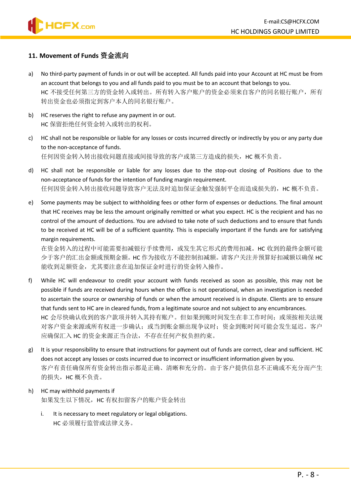#### <span id="page-7-0"></span>**11. Movement of Funds** 资金流向

- a) No third-party payment of funds in or out will be accepted. All funds paid into your Account at HC must be from an account that belongs to you and all funds paid to you must be to an account that belongs to you. HC 不接受任何第三方的资金转入或转出。所有转入客户账户的资金必须来自客户的同名银行账户,所有 转出资金也必须指定到客户本人的同名银行账户。
- b) HC reserves the right to refuse any payment in or out. HC 保留拒绝任何资金转入或转出的权利。
- c) HC shall not be responsible or liable for any losses or costs incurred directly or indirectly by you or any party due to the non-acceptance of funds. 任何因资金转入转出接收问题直接或间接导致的客户或第三方造成的损失,HC 概不负责。
- d) HC shall not be responsible or liable for any losses due to the stop-out closing of Positions due to the non-acceptance of funds for the intention of funding margin requirement. 任何因资金转入转出接收问题导致客户无法及时追加保证金触发强制平仓而造成损失的,HC 概不负责。
- e) Some payments may be subject to withholding fees or other form of expenses or deductions. The final amount that HC receives may be less the amount originally remitted or what you expect. HC is the recipient and has no control of the amount of deductions. You are advised to take note of such deductions and to ensure that funds to be received at HC will be of a sufficient quantity. This is especially important if the funds are for satisfying margin requirements.

在资金转入的过程中可能需要扣减银行手续费用,或发生其它形式的费用扣减。HC 收到的最终金额可能 少于客户的汇出金额或预期金额。HC 作为接收方不能控制扣减额。请客户关注并预算好扣减额以确保 HC 能收到足额资金,尤其要注意在追加保证金时进行的资金转入操作。

- f) While HC will endeavour to credit your account with funds received as soon as possible, this may not be possible if funds are received during hours when the office is not operational, when an investigation is needed to ascertain the source or ownership of funds or when the amount received is in dispute. Clients are to ensure that funds sent to HC are in cleared funds, from a legitimate source and not subject to any encumbrances. HC 会尽快确认收到的客户款项并转入其持有账户。但如果到账时间发生在非工作时间;或须按相关法规 对客户资金来源或所有权进一步确认;或当到账金额出现争议时;资金到账时间可能会发生延迟。客户 应确保汇入 HC 的资金来源正当合法,不存在任何产权负担约束。
- g) It is your responsibility to ensure that instructions for payment out of funds are correct, clear and sufficient. HC does not accept any losses or costs incurred due to incorrect or insufficient information given by you. 客户有责任确保所有资金转出指示都是正确、清晰和充分的。由于客户提供信息不正确或不充分而产生 的损失, HC 概不负责。
- h) HC may withhold payments if 如果发生以下情况, HC 有权扣留客户的账户资金转出
	- i. It is necessary to meet regulatory or legal obligations. HC 必须履行监管或法律义务。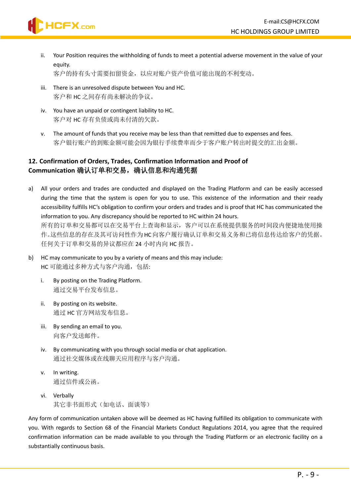ii. Your Position requires the withholding of funds to meet a potential adverse movement in the value of your equity.

客户的持有头寸需要扣留资金,以应对账户资产价值可能出现的不利变动。

- iii. There is an unresolved dispute between You and HC. 客户和 HC 之间存有尚未解决的争议。
- iv. You have an unpaid or contingent liability to HC. 客户对 HC 存有负债或尚未付清的欠款。

HCFX.com

v. The amount of funds that you receive may be less than that remitted due to expenses and fees. 客户银行账户的到账金额可能会因为银行手续费率而少于客户账户转出时提交的汇出金额。

# <span id="page-8-0"></span>**12. Confirmation of Orders, Trades, Confirmation Information and Proof of Communication** 确认订单和交易,确认信息和沟通凭据

- a) All your orders and trades are conducted and displayed on the Trading Platform and can be easily accessed during the time that the system is open for you to use. This existence of the information and their ready accessibility fulfills HC's obligation to confirm your orders and trades and is proof that HC has communicated the information to you. Any discrepancy should be reported to HC within 24 hours. 所有的订单和交易都可以在交易平台上查询和显示,客户可以在系统提供服务的时间段内便捷地使用操 作。这些信息的存在及其可访问性作为 HC向客户履行确认订单和交易义务和已将信息传达给客户的凭据。 任何关于订单和交易的异议都应在 24 小时内向 HC 报告。
- b) HC may communicate to you by a variety of means and this may include: HC 可能通过多种方式与客户沟通, 包括:
	- i. By posting on the Trading Platform. 通过交易平台发布信息。
	- ii. By posting on its website. 通过 HC 官方网站发布信息。
	- iii. By sending an email to you. 向客户发送邮件。
	- iv. By communicating with you through social media or chat application. 通过社交媒体或在线聊天应用程序与客户沟通。
	- v. In writing. 通过信件或公函。
	- vi. Verbally 其它非书面形式(如电话、面谈等)

Any form of communication untaken above will be deemed as HC having fulfilled its obligation to communicate with you. With regards to Section 68 of the Financial Markets Conduct Regulations 2014, you agree that the required confirmation information can be made available to you through the Trading Platform or an electronic facility on a substantially continuous basis.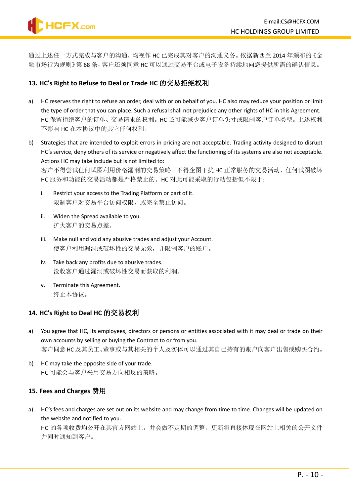通过上述任一方式完成与客户的沟通,均视作 HC 已完成其对客户的沟通义务。依据新西兰 2014 年颁布的《金 融市场行为规则》第 68 条,客户还须同意 HC 可以通过交易平台或电子设备持续地向您提供所需的确认信息。

### <span id="page-9-0"></span>**13. HC's Right to Refuse to Deal or Trade HC** 的交易拒绝权利

- a) HC reserves the right to refuse an order, deal with or on behalf of you. HC also may reduce your position or limit the type of order that you can place. Such a refusal shall not prejudice any other rights of HC in this Agreement. HC 保留拒绝客户的订单、交易请求的权利。HC 还可能减少客户订单头寸或限制客户订单类型。上述权利 不影响 HC 在本协议中的其它任何权利。
- b) Strategies that are intended to exploit errors in pricing are not acceptable. Trading activity designed to disrupt HC's service, deny others of its service or negatively affect the functioning of its systems are also not acceptable. Actions HC may take include but is not limited to:

客户不得尝试任何试图利用价格漏洞的交易策略。不得企图干扰 HC 正常服务的交易活动、任何试图破坏 HC 服务和功能的交易活动都是严格禁止的。HC 对此可能采取的行动包括但不限于:

- i. Restrict your access to the Trading Platform or part of it. 限制客户对交易平台访问权限,或完全禁止访问。
- ii. Widen the Spread available to you. 扩大客户的交易点差。
- iii. Make null and void any abusive trades and adjust your Account. 使客户利用漏洞或破坏性的交易无效,并限制客户的账户。
- iv. Take back any profits due to abusive trades. 没收客户通过漏洞或破坏性交易而获取的利润。
- v. Terminate this Agreement. 终止本协议。

# <span id="page-9-1"></span>**14. HC's Right to Deal HC** 的交易权利

- a) You agree that HC, its employees, directors or persons or entities associated with it may deal or trade on their own accounts by selling or buying the Contract to or from you. 客户同意HC 及其员工、董事或与其相关的个人及实体可以通过其自己持有的账户向客户出售或购买合约。
- b) HC may take the opposite side of your trade. HC 可能会与客户采用交易方向相反的策略。

# <span id="page-9-2"></span>**15. Fees and Charges** 费用

a) HC's fees and charges are set out on its website and may change from time to time. Changes will be updated on the website and notified to you.

HC 的各项收费均公开在其官方网站上,并会做不定期的调整。更新将直接体现在网站上相关的公开文件 并同时通知到客户。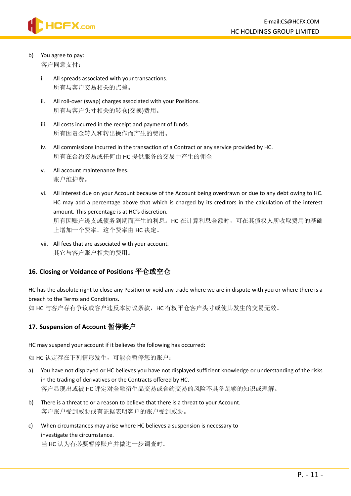

# b) You agree to pay:

客户同意支付:

- i. All spreads associated with your transactions. 所有与客户交易相关的点差。
- ii. All roll-over (swap) charges associated with your Positions. 所有与客户头寸相关的转仓(交换)费用。
- iii. All costs incurred in the receipt and payment of funds. 所有因资金转入和转出操作而产生的费用。
- iv. All commissions incurred in the transaction of a Contract or any service provided by HC. 所有在合约交易或任何由 HC 提供服务的交易中产生的佣金
- v. All account maintenance fees. 账户维护费。
- vi. All interest due on your Account because of the Account being overdrawn or due to any debt owing to HC. HC may add a percentage above that which is charged by its creditors in the calculation of the interest amount. This percentage is at HC's discretion. 所有因账户透支或债务到期而产生的利息。HC 在计算利息金额时,可在其债权人所收取费用的基础 上增加一个费率。这个费率由 HC 决定。
- vii. All fees that are associated with your account. 其它与客户账户相关的费用。

# <span id="page-10-0"></span>**16. Closing or Voidance of Positions** 平仓或空仓

HC has the absolute right to close any Position or void any trade where we are in dispute with you or where there is a breach to the Terms and Conditions.

如 HC 与客户存有争议或客户违反本协议条款,HC 有权平仓客户头寸或使其发生的交易无效。

# <span id="page-10-1"></span>**17. Suspension of Account** 暂停账户

HC may suspend your account if it believes the following has occurred:

如 HC 认定存在下列情形发生,可能会暂停您的账户:

- a) You have not displayed or HC believes you have not displayed sufficient knowledge or understanding of the risks in the trading of derivatives or the Contracts offered by HC. 客户显现出或被 HC 评定对金融衍生品交易或合约交易的风险不具备足够的知识或理解。
- b) There is a threat to or a reason to believe that there is a threat to your Account. 客户账户受到威胁或有证据表明客户的账户受到威胁。
- c) When circumstances may arise where HC believes a suspension is necessary to investigate the circumstance.

当 HC 认为有必要暂停账户并做进一步调查时。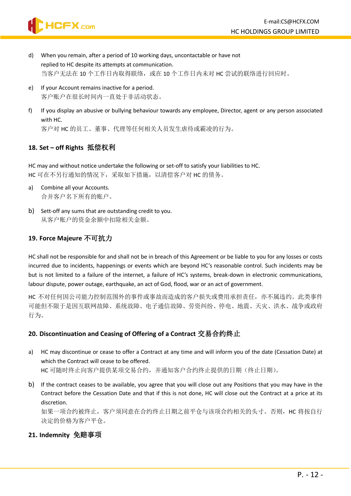- HCFX.com
- d) When you remain, after a period of 10 working days, uncontactable or have not replied to HC despite its attempts at communication. 当客户无法在 10 个工作日内取得联络, 或在 10 个工作日内未对 HC 尝试的联络进行回应时。
- e) If your Account remains inactive for a period. 客户账户在很长时间内一直处于非活动状态。
- f) If you display an abusive or bullying behaviour towards any employee, Director, agent or any person associated with HC.

客户对 HC 的员工、董事、代理等任何相关人员发生虐待或霸凌的行为。

# <span id="page-11-0"></span>**18. Set – off Rights** 抵偿权利

HC may and without notice undertake the following or set-off to satisfy your liabilities to HC. HC 可在不另行通知的情况下,采取如下措施,以清偿客户对 HC 的债务。

- a) Combine all your Accounts. 合并客户名下所有的账户。
- b) Sett-off any sums that are outstanding credit to you. 从客户账户的资金余额中扣除相关金额。

# <span id="page-11-1"></span>**19. Force Majeure** 不可抗力

HC shall not be responsible for and shall not be in breach of this Agreement or be liable to you for any losses or costs incurred due to incidents, happenings or events which are beyond HC's reasonable control. Such incidents may be but is not limited to a failure of the internet, a failure of HC's systems, break-down in electronic communications, labour dispute, power outage, earthquake, an act of God, flood, war or an act of government.

HC 不对任何因公司能力控制范围外的事件或事故而造成的客户损失或费用承担责任,亦不属违约。此类事件 可能但不限于是因互联网故障、系统故障、电子通信故障、劳资纠纷、停电、地震、天灾、洪水、战争或政府 行为。

# <span id="page-11-2"></span>**20. Discontinuation and Ceasing of Offering of a Contract** 交易合约终止

- a) HC may discontinue or cease to offer a Contract at any time and will inform you of the date (Cessation Date) at which the Contract will cease to be offered. HC 可随时终止向客户提供某项交易合约,并通知客户合约终止提供的日期(终止日期)。
- b) If the contract ceases to be available, you agree that you will close out any Positions that you may have in the Contract before the Cessation Date and that if this is not done, HC will close out the Contract at a price at its discretion.

如果一项合约被终止,客户须同意在合约终止日期之前平仓与该项合约相关的头寸。否则,HC 将按自行 决定的价格为客户平仓。

# <span id="page-11-3"></span>**21. Indemnity** 免赔事项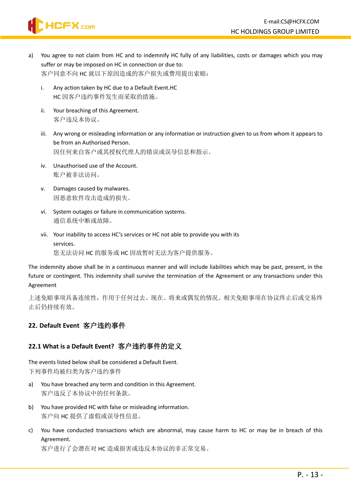

- a) You agree to not claim from HC and to indemnify HC fully of any liabilities, costs or damages which you may suffer or may be imposed on HC in connection or due to: 客户同意不向 HC 就以下原因造成的客户损失或费用提出索赔:
	- i. Any action taken by HC due to a Default Event.HC HC 因客户违约事件发生而采取的措施。
	- ii. Your breaching of this Agreement. 客户违反本协议。
	- iii. Any wrong or misleading information or any information or instruction given to us from whom it appears to be from an Authorised Person. 因任何来自客户或其授权代理人的错误或误导信息和指示。
	- iv. Unauthorised use of the Account. 账户被非法访问。
	- v. Damages caused by malwares. 因恶意软件攻击造成的损失。
	- vi. System outages or failure in communication systems. 通信系统中断或故障。
	- vii. Your inability to access HC's services or HC not able to provide you with its services.

您无法访问 HC 的服务或 HC 因故暂时无法为客户提供服务。

The indemnity above shall be in a continuous manner and will include liabilities which may be past, present, in the future or contingent. This indemnity shall survive the termination of the Agreement or any transactions under this Agreement

上述免赔事项具备连续性,作用于任何过去、现在、将来或偶发的情况。相关免赔事项在协议终止后或交易终 止后仍持续有效。

# <span id="page-12-0"></span>**22. Default Event** 客户违约事件

# **22.1 What is a Default Event?** 客户违约事件的定义

The events listed below shall be considered a Default Event. 下列事件均被归类为客户违约事件

- a) You have breached any term and condition in this Agreement. 客户违反了本协议中的任何条款。
- b) You have provided HC with false or misleading information. 客户向 HC 提供了虚假或误导性信息。
- c) You have conducted transactions which are abnormal, may cause harm to HC or may be in breach of this Agreement.

客户进行了会潜在对 HC 造成损害或违反本协议的非正常交易。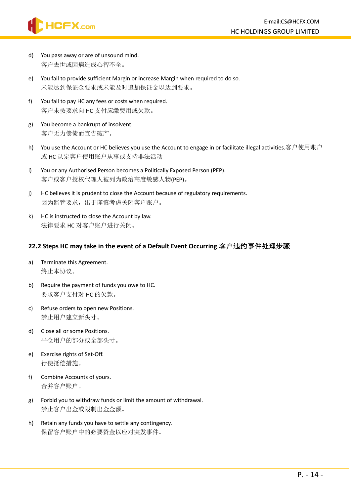

- d) You pass away or are of unsound mind. 客户去世或因病造成心智不全。
- e) You fail to provide sufficient Margin or increase Margin when required to do so. 未能达到保证金要求或未能及时追加保证金以达到要求。
- f) You fail to pay HC any fees or costs when required. 客户未按要求向 HC 支付应缴费用或欠款。
- g) You become a bankrupt of insolvent. 客户无力偿债而宣告破产。
- h) You use the Account or HC believes you use the Account to engage in or facilitate illegal activities.客户使用账户 或 HC 认定客户使用账户从事或支持非法活动
- i) You or any Authorised Person becomes a Politically Exposed Person (PEP). 客户或客户授权代理人被列为政治高度敏感人物(PEP)。
- j) HC believes it is prudent to close the Account because of regulatory requirements. 因为监管要求,出于谨慎考虑关闭客户账户。
- k) HC is instructed to close the Account by law. 法律要求 HC 对客户账户进行关闭。

### **22.2 Steps HC may take in the event of a Default Event Occurring** 客户违约事件处理步骤

- a) Terminate this Agreement. 终止本协议。
- b) Require the payment of funds you owe to HC. 要求客户支付对 HC 的欠款。
- c) Refuse orders to open new Positions. 禁止用户建立新头寸。
- d) Close all or some Positions. 平仓用户的部分或全部头寸。
- e) Exercise rights of Set-Off. 行使抵偿措施。
- f) Combine Accounts of yours. 合并客户账户。
- g) Forbid you to withdraw funds or limit the amount of withdrawal. 禁止客户出金或限制出金金额。
- h) Retain any funds you have to settle any contingency. 保留客户账户中的必要资金以应对突发事件。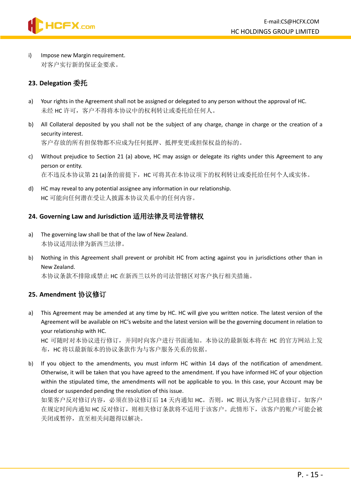

i) Impose new Margin requirement. 对客户实行新的保证金要求。

#### <span id="page-14-0"></span>**23. Delegation** 委托

- a) Your rights in the Agreement shall not be assigned or delegated to any person without the approval of HC. 未经 HC 许可, 客户不得将本协议中的权利转让或委托给任何人。
- b) All Collateral deposited by you shall not be the subject of any charge, change in charge or the creation of a security interest. 客户存放的所有担保物都不应成为任何抵押、抵押变更或担保权益的标的。
- c) Without prejudice to Section 21 (a) above, HC may assign or delegate its rights under this Agreement to any person or entity. 在不违反本协议第 21 (a)条的前提下,HC 可将其在本协议项下的权利转让或委托给任何个人或实体。
- d) HC may reveal to any potential assignee any information in our relationship. HC 可能向任何潜在受让人披露本协议关系中的任何内容。

#### <span id="page-14-1"></span>**24. Governing Law and Jurisdiction** 适用法律及司法管辖权

- a) The governing law shall be that of the law of New Zealand. 本协议适用法律为新西兰法律。
- b) Nothing in this Agreement shall prevent or prohibit HC from acting against you in jurisdictions other than in New Zealand.

本协议条款不排除或禁止 HC 在新西兰以外的司法管辖区对客户执行相关措施。

#### <span id="page-14-2"></span>**25. Amendment** 协议修订

a) This Agreement may be amended at any time by HC. HC will give you written notice. The latest version of the Agreement will be available on HC's website and the latest version will be the governing document in relation to your relationship with HC.

HC 可随时对本协议进行修订,并同时向客户进行书面通知。本协议的最新版本将在 HC 的官方网站上发 布, HC 将以最新版本的协议条款作为与客户服务关系的依据。

b) If you object to the amendments, you must inform HC within 14 days of the notification of amendment. Otherwise, it will be taken that you have agreed to the amendment. If you have informed HC of your objection within the stipulated time, the amendments will not be applicable to you. In this case, your Account may be closed or suspended pending the resolution of this issue.

如果客户反对修订内容, 必须在协议修订后 14 天内通知 HC。否则, HC 则认为客户已同意修订。如客户 在规定时间内通知 HC 反对修订, 则相关修订条款将不适用于该客户。此情形下, 该客户的账户可能会被 关闭或暂停,直至相关问题得以解决。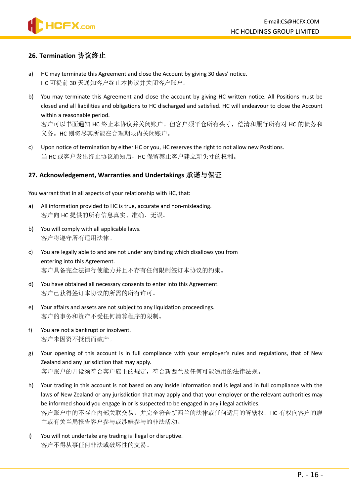# **HCFX.com**

#### <span id="page-15-0"></span>**26. Termination** 协议终止

- a) HC may terminate this Agreement and close the Account by giving 30 days' notice. HC 可提前 30 天通知客户终止本协议并关闭客户账户。
- b) You may terminate this Agreement and close the account by giving HC written notice. All Positions must be closed and all liabilities and obligations to HC discharged and satisfied. HC will endeavour to close the Account within a reasonable period.

客户可以书面通知 HC 终止本协议并关闭账户。但客户须平仓所有头寸,偿清和履行所有对 HC 的债务和 义务。HC 则将尽其所能在合理期限内关闭账户。

c) Upon notice of termination by either HC or you, HC reserves the right to not allow new Positions. 当 HC 或客户发出终止协议通知后,HC 保留禁止客户建立新头寸的权利。

#### <span id="page-15-1"></span>**27. Acknowledgement, Warranties and Undertakings** 承诺与保证

You warrant that in all aspects of your relationship with HC, that:

- a) All information provided to HC is true, accurate and non-misleading. 客户向 HC 提供的所有信息真实、准确、无误。
- b) You will comply with all applicable laws. 客户将遵守所有适用法律。
- c) You are legally able to and are not under any binding which disallows you from entering into this Agreement. 客户具备完全法律行使能力并且不存有任何限制签订本协议的约束。
- d) You have obtained all necessary consents to enter into this Agreement. 客户已获得签订本协议的所需的所有许可。
- e) Your affairs and assets are not subject to any liquidation proceedings. 客户的事务和资产不受任何清算程序的限制。
- f) You are not a bankrupt or insolvent. 客户未因资不抵债而破产。
- g) Your opening of this account is in full compliance with your employer's rules and regulations, that of New Zealand and any jurisdiction that may apply. 客户账户的开设须符合客户雇主的规定,符合新西兰及任何可能适用的法律法规。
- h) Your trading in this account is not based on any inside information and is legal and in full compliance with the laws of New Zealand or any jurisdiction that may apply and that your employer or the relevant authorities may be informed should you engage in or is suspected to be engaged in any illegal activities. 客户账户中的不存在内部关联交易,并完全符合新西兰的法律或任何适用的管辖权。HC 有权向客户的雇 主或有关当局报告客户参与或涉嫌参与的非法活动。
- i) You will not undertake any trading is illegal or disruptive. 客户不得从事任何非法或破坏性的交易。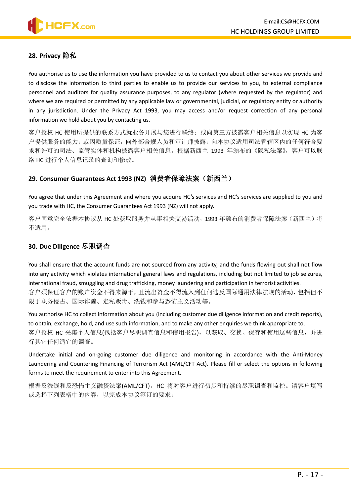#### <span id="page-16-0"></span>**28. Privacy** 隐私

You authorise us to use the information you have provided to us to contact you about other services we provide and to disclose the information to third parties to enable us to provide our services to you, to external compliance personnel and auditors for quality assurance purposes, to any regulator (where requested by the regulator) and where we are required or permitted by any applicable law or governmental, judicial, or regulatory entity or authority in any jurisdiction. Under the Privacy Act 1993, you may access and/or request correction of any personal information we hold about you by contacting us.

客户授权 HC 使用所提供的联系方式就业务开展与您进行联络;或向第三方披露客户相关信息以实现 HC 为客 户提供服务的能力;或因质量保证,向外部合规人员和审计师披露;向本协议适用司法管辖区内的任何符合要 求和许可的司法、监管实体和机构披露客户相关信息。根据新西兰 1993 年颁布的《隐私法案》, 客户可以联 络 HC 进行个人信息记录的查询和修改。

#### <span id="page-16-1"></span>**29. Consumer Guarantees Act 1993 (NZ)** 消费者保障法案(新西兰)

You agree that under this Agreement and where you acquire HC's services and HC's services are supplied to you and you trade with HC, the Consumer Guarantees Act 1993 (NZ) will not apply.

客户同意完全依据本协议从 HC 处获取服务并从事相关交易活动,1993 年颁布的消费者保障法案(新西兰)将 不适用。

#### <span id="page-16-2"></span>**30. Due Diligence** 尽职调查

You shall ensure that the account funds are not sourced from any activity, and the funds flowing out shall not flow into any activity which violates international general laws and regulations, including but not limited to job seizures, international fraud, smuggling and drug trafficking, money laundering and participation in terrorist activities. 客户须保证客户的账户资金不得来源于,且流出资金不得流入到任何违反国际通用法律法规的活动,包括但不 限于职务侵占、国际诈骗、走私贩毒、洗钱和参与恐怖主义活动等。

You authorise HC to collect information about you (including customer due diligence information and credit reports), to obtain, exchange, hold, and use such information, and to make any other enquiries we think appropriate to. 客户授权 HC 采集个人信息(包括客户尽职调查信息和信用报告),以获取、交换、保存和使用这些信息,并进 行其它任何适宜的调查。

Undertake initial and on-going customer due diligence and monitoring in accordance with the Anti-Money Laundering and Countering Financing of Terrorism Act (AML/CFT Act). Please fill or select the options in following forms to meet the requirement to enter into this Agreement.

根据反洗钱和反恐怖主义融资法案(AML/CFT), HC 将对客户进行初步和持续的尽职调查和监控。请客户填写 或选择下列表格中的内容,以完成本协议签订的要求: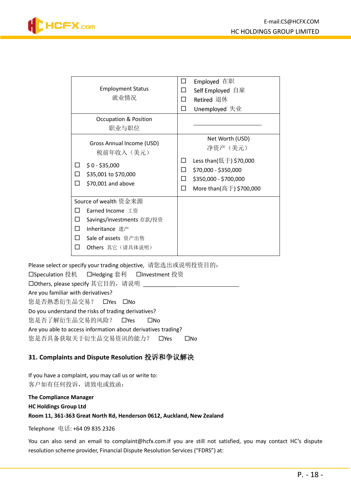| <b>Employment Status</b><br>就业情况                                                                                                                    | Employed 在职<br>Self Employed 自雇<br>П<br>п<br>Retired 退休<br>Unemployed 失业<br>П                                                                              |
|-----------------------------------------------------------------------------------------------------------------------------------------------------|------------------------------------------------------------------------------------------------------------------------------------------------------------|
| <b>Occupation &amp; Position</b><br>职业与职位                                                                                                           |                                                                                                                                                            |
| Gross Annual Income (USD)<br>税前年收入 (美元)<br>$$0 - $35,000$<br>ப<br>\$35,001 to \$70,000<br>П<br>\$70,001 and above<br>П                              | Net Worth (USD)<br>净资产 (美元)<br>Less than(低于) \$70,000<br>$\Box$<br>\$70,000 - \$350,000<br>П<br>\$350,000 - \$700,000<br>П<br>More than(高于) \$700,000<br>П |
| Source of wealth 资金来源<br>Earned Income 工资<br>Savings/investments 存款/投资<br>П<br>Inheritance 遗产<br>П<br>Sale of assets 资产出售<br>П<br>Others 其它 (请具体说明) |                                                                                                                                                            |

Please select or specify your trading objective, 请您选出或说明投资目的:

□Speculation 投机 □Hedging 套利 □Investment 投资 □Others, please specify 其它目的, 请说明 Are you familiar with derivatives? 您是否熟悉衍生品交易? OYes ONo Do you understand the risks of trading derivatives? 您是否了解衍生品交易的风险? CYes CINo Are you able to access information about derivatives trading? 您是否具备获取关于衍生品交易资讯的能力? CYes CNo

# <span id="page-17-0"></span>**31. Complaints and Dispute Resolution** 投诉和争议解决

If you have a complaint, you may call us or write to: 客户如有任何投诉,请致电或致函:

**The Compliance Manager HC Holdings Group Ltd Room 11, 361-363 Great North Rd, Henderson 0612, Auckland, New Zealand**

Telephone 电话: +64 09 835 2326

You can also send an email to complaint@hcfx.com.If you are still not satisfied, you may contact HC's dispute resolution scheme provider, Financial Dispute Resolution Services ("FDRS") at: